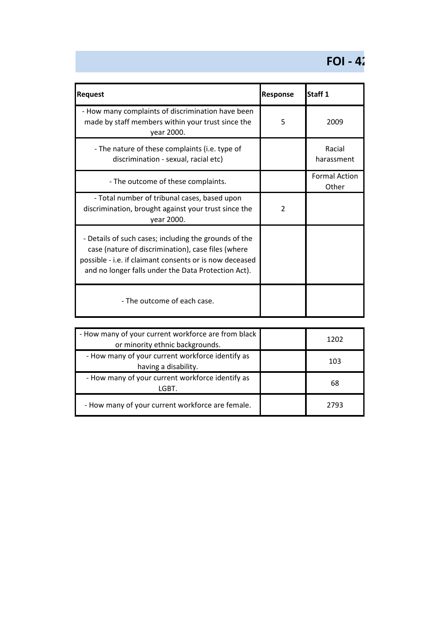## **FOI - 42**

| <b>Request</b>                                                                                                                                                                                                                | <b>Response</b>          | Staff <sub>1</sub>            |
|-------------------------------------------------------------------------------------------------------------------------------------------------------------------------------------------------------------------------------|--------------------------|-------------------------------|
| - How many complaints of discrimination have been<br>made by staff members within your trust since the<br>year 2000.                                                                                                          | 5                        | 2009                          |
| - The nature of these complaints (i.e. type of<br>discrimination - sexual, racial etc)                                                                                                                                        |                          | Racial<br>harassment          |
| - The outcome of these complaints.                                                                                                                                                                                            |                          | <b>Formal Action</b><br>Other |
| - Total number of tribunal cases, based upon<br>discrimination, brought against your trust since the<br>year 2000.                                                                                                            | $\overline{\phantom{a}}$ |                               |
| - Details of such cases; including the grounds of the<br>case (nature of discrimination), case files (where<br>possible - i.e. if claimant consents or is now deceased<br>and no longer falls under the Data Protection Act). |                          |                               |
| - The outcome of each case.                                                                                                                                                                                                   |                          |                               |

| - How many of your current workforce are from black<br>or minority ethnic backgrounds. | 1202 |
|----------------------------------------------------------------------------------------|------|
| - How many of your current workforce identify as<br>having a disability.               | 103  |
| - How many of your current workforce identify as<br>LGBT.                              | 68   |
| - How many of your current workforce are female.                                       | 2793 |